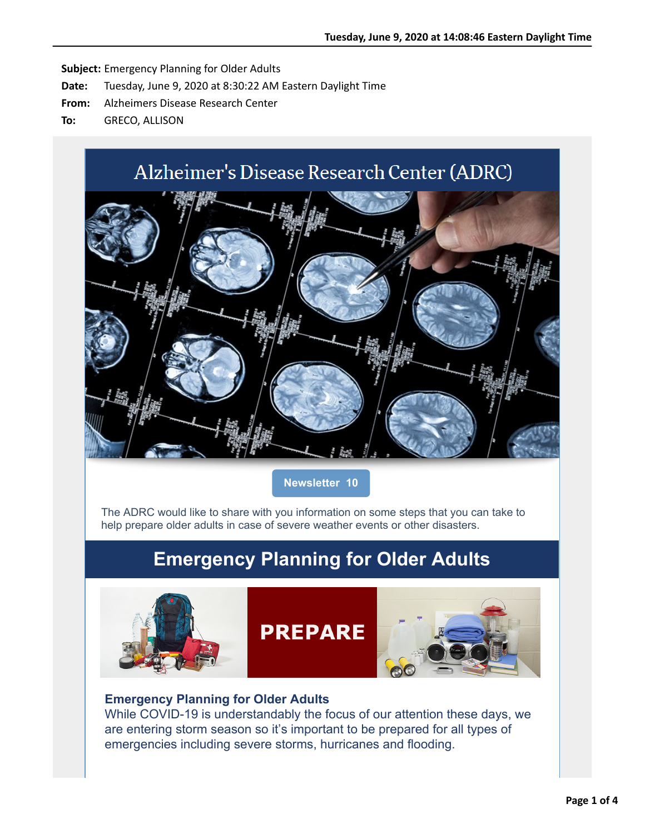# Alzheimer's Disease Research Center (ADRC)



**Newsletter 10**

The ADRC would like to share with you information on some steps that you can take to help prepare older adults in case of severe weather events or other disasters.

### **Emergency Planning for Older Adults**



#### **Emergency Planning for Older Adults**

[While COVID-19 is understandably the focus of our attention these days, we](applewebdata://6CBD6BE2-FD4B-4A7F-86AC-3ECA1C732DC4#) are entering storm season so it's important to be prepared for all types of emergencies including severe storms, hurricanes and flooding.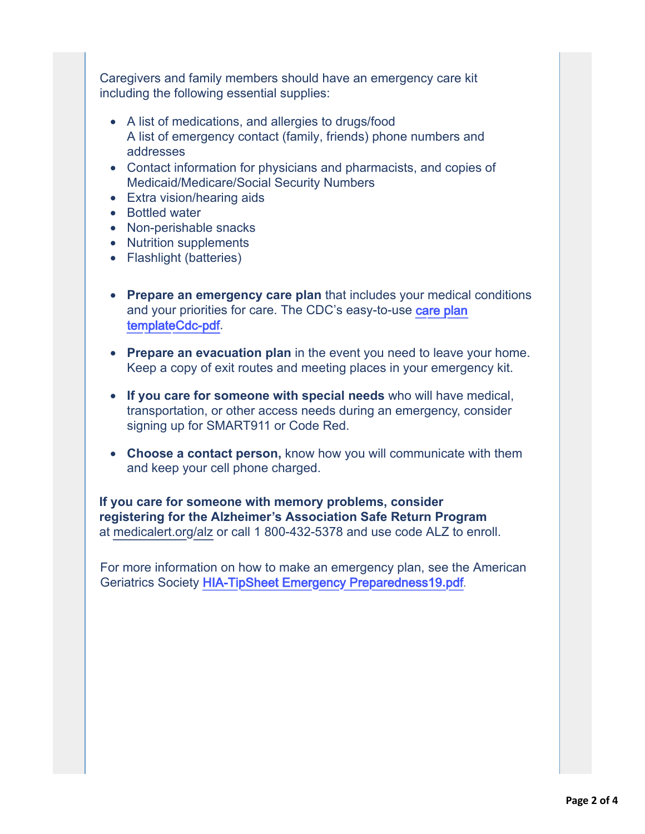Caregivers and family members should have an emergency care kit including the following essential supplies:

- A list of medications, and allergies to drugs/food A list of emergency contact (family, friends) phone numbers and addresses
- Contact information for physicians and pharmacists, and copies of Medicaid/Medicare/Social Security Numbers
- [Extra vision/hearing aids](https://nam05.safelinks.protection.outlook.com/?url=http%3A%2F%2Fr20.rs6.net%2Ftn.jsp%3Ff%3D001502K2dLLmjDsP4DVSpacN70sm-uyFjGnFjp4i4B3WTSmSHN_OmebtiYyVyJ-bVWNyzG3g4HqnOcBC-f_rNMeIOr6-Tv0N_uopVbfe7ET-NvU3Un7tqOze-eysNKNeQ4SrR6Qaf94RoptmijUhrmLJ5NX0r4idTtca_fjJPSfTSN8VQVRgRNeSvhfOv-yKs-Yz4kh7UiktxT47qFba2sLsA%3D%3D%26c%3DWBOb0V8glN-zkcRvErp9RhSfGQjuhOwgfO5S-bmBlPgC4bH_-qEZDg%3D%3D%26ch%3D_su9qMskBvXE8hbWX9BnEsZAIRnDD5ix7ES_x9pZuVSUbbMQWltzbA%3D%3D&data=02%7C01%7Callison.greco%40yale.edu%7C68621c586b46476ee80508d80c70e15f%7Cdd8cbebb21394df8b4114e3e87abeb5c%7C0%7C0%7C637273026249626693&sdata=wVo1a21%2Bdh7D%2FI1tzbYwkbNC5q5t8fGeEb%2FkaDi%2BZ4g%3D&reserved=0)
- Bottled water
- Non-perishable snacks
- Nutrition supplements
- Flashlight (batteries)
- **Prepare an emergency care plan** that includes your medical conditions and your priorities for care. The CDC's easy-to-use care plan templateCdc-pdf.
- **Prepare an evacuation plan** in the event you need to leave your home. Keep a copy of exit routes and meeting places in your emergency kit.
- **If you care for someone with special needs** who will have medical, transportation, or other access needs during an emergency, consider signing up for SMART911 or Code Red.
- **Choose a contact person,** know how you will communicate with them and keep your cell phone charged.

**If you care for someone with memory problems, consider registering for the Alzheimer's Association Safe Return Program** at [medicalert.org/alz](https://nam05.safelinks.protection.outlook.com/?url=http%3A%2F%2Fr20.rs6.net%2Ftn.jsp%3Ff%3D001502K2dLLmjDsP4DVSpacN70sm-uyFjGnFjp4i4B3WTSmSHN_OmebtiYyVyJ-bVWNm17nZ1xE_BENyd8wSNJD4-h6CzPID6zmFPxhhZ4LM-X-xjnO_hQDYzJECZklwai3MszcP75fZ8t-LPTtieZpC6WkX-tjUP560OcXe7Nrqt7gko64mpC0y9laMdnIdoubJb0FgdHsFtiV8eoXu4mz8XlOvstlIwbxG7YkNvuixYq3wWafY9u3biiu8kiWVhqGkp0qU1V5cIeRvVf16D3qb7ppkWGJlcPTuYnU2rIiE0xR607U0l5I0hHR7q4ikzabQYZHx0aa5Vhv7Oy0hDFMXGiKJzaQGcCVOXR6sda8_8U%3D%26c%3DWBOb0V8glN-zkcRvErp9RhSfGQjuhOwgfO5S-bmBlPgC4bH_-qEZDg%3D%3D%26ch%3D_su9qMskBvXE8hbWX9BnEsZAIRnDD5ix7ES_x9pZuVSUbbMQWltzbA%3D%3D&data=02%7C01%7Callison.greco%40yale.edu%7C68621c586b46476ee80508d80c70e15f%7Cdd8cbebb21394df8b4114e3e87abeb5c%7C0%7C0%7C637273026249636686&sdata=IBq3TM%2BXCV71bbNAdFVQaQKgY7o7Umz2jiI6KdNFbFQ%3D&reserved=0) or call 1 800-432-5378 and use code ALZ to enroll.

For more information on how to make an emergency plan, see the American Geriatrics Society [HIA-TipSheet Emergency Preparedness19](https://nam05.safelinks.protection.outlook.com/?url=http%3A%2F%2Fr20.rs6.net%2Ftn.jsp%3Ff%3D001502K2dLLmjDsP4DVSpacN70sm-uyFjGnFjp4i4B3WTSmSHN_OmebtiYyVyJ-bVWNsqXzAM2VywZBBO0fOEFEHpNlXmV151JPZTruY9QBzBOadWNz-n3RpkBf2lmzuslgw1YmSidxuC4woSNR4tc4M8XDx3OLoSL7OLQhkli-O4dBE4OznzW5gPmfqNkPx_aZGP9nkVmO_lAHP7FGTu4MqKYAYysMcxyB6x66wkc243vtjnxn954UZjcwMgNXiuhg7kPWcXljnc4vBvnv3uKi1A%3D%3D%26c%3DWBOb0V8glN-zkcRvErp9RhSfGQjuhOwgfO5S-bmBlPgC4bH_-qEZDg%3D%3D%26ch%3D_su9qMskBvXE8hbWX9BnEsZAIRnDD5ix7ES_x9pZuVSUbbMQWltzbA%3D%3D&data=02%7C01%7Callison.greco%40yale.edu%7C68621c586b46476ee80508d80c70e15f%7Cdd8cbebb21394df8b4114e3e87abeb5c%7C0%7C0%7C637273026249636686&sdata=U9M3VTo%2FDSiLhFGxF3MRxmgiKYZfa6ibLBLYgR%2Bvx6c%3D&reserved=0)**.**pdf.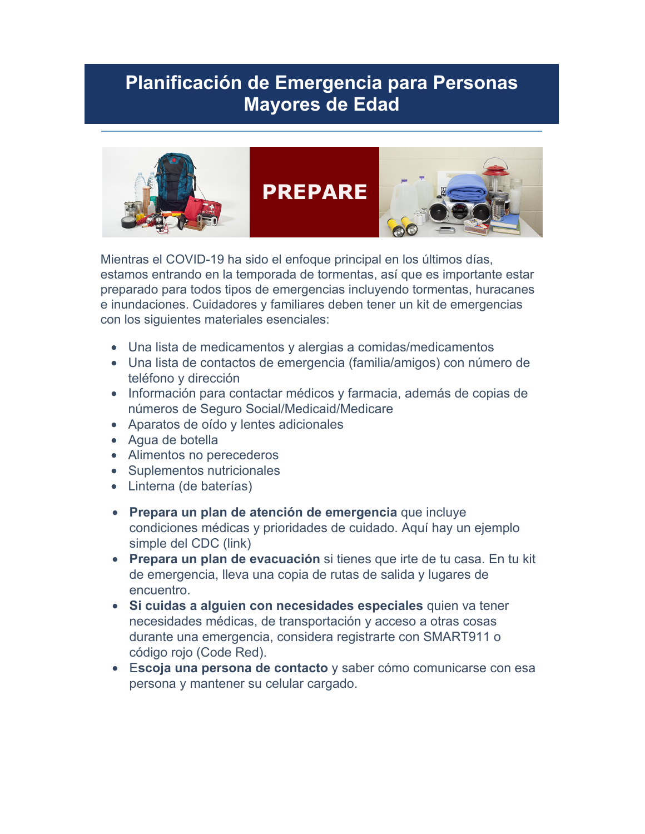## **Planificación de Emergencia para Personas Mayores de Edad**



Mientras el COVID-19 ha sido el enfoque principal en los últimos días, estamos entrando en la temporada de tormentas, así que es importante estar preparado para todos tipos de emergencias incluyendo tormentas, huracanes e inundaciones. Cuidadores y familiares deben tener un kit de emergencias con los siguientes materiales esenciales:

- Una lista de medicamentos y alergias a comidas/medicamentos
- Una lista de contactos de emergencia (familia/amigos) con número de teléfono y dirección
- Información para contactar médicos y farmacia, además de copias de números de Seguro Social/Medicaid/Medicare
- Aparatos de oído y lentes adicionales
- Agua de botella
- Alimentos no perecederos
- Suplementos nutricionales
- Linterna (de baterías)
- **Prepara un plan de atención de emergencia** que incluye condiciones médicas y prioridades de cuidado. Aquí hay un ejemplo simple del CDC (link)
- **Prepara un plan de evacuación** si tienes que irte de tu casa. En tu kit de emergencia, lleva una copia de rutas de salida y lugares de encuentro.
- **Si cuidas a alguien con necesidades especiales** quien va tener necesidades médicas, de transportación y acceso a otras cosas durante una emergencia, considera registrarte con SMART911 o código rojo (Code Red).
- E**scoja una persona de contacto** y saber cómo comunicarse con esa persona y mantener su celular cargado.